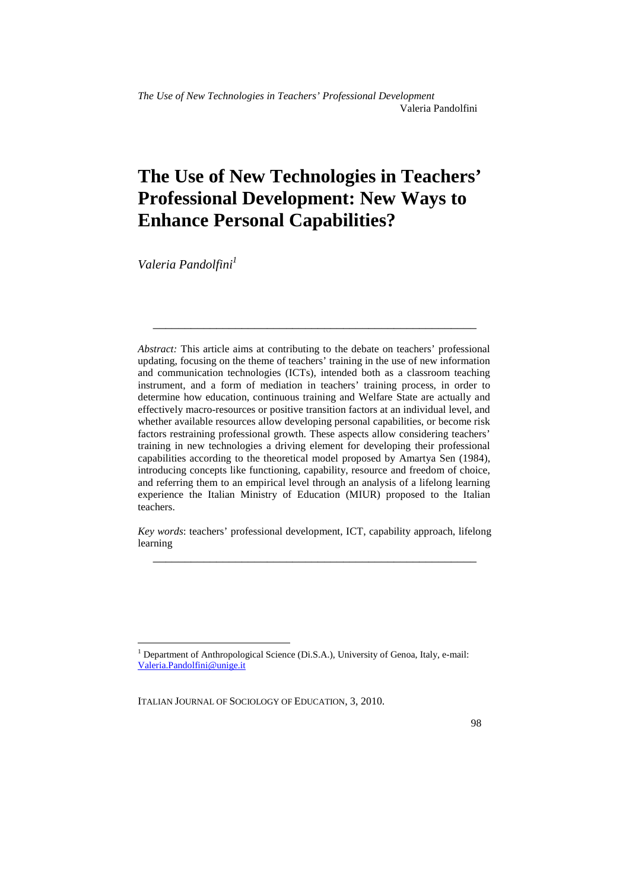# **The Use of New Technologies in Teachers' Professional Development: New Ways to Enhance Personal Capabilities?**

*Valeria Pandolfini<sup>1</sup>*

 $\overline{a}$ 

*Abstract:* This article aims at contributing to the debate on teachers' professional updating, focusing on the theme of teachers' training in the use of new information and communication technologies (ICTs), intended both as a classroom teaching instrument, and a form of mediation in teachers' training process, in order to determine how education, continuous training and Welfare State are actually and effectively macro-resources or positive transition factors at an individual level, and whether available resources allow developing personal capabilities, or become risk factors restraining professional growth. These aspects allow considering teachers' training in new technologies a driving element for developing their professional capabilities according to the theoretical model proposed by Amartya Sen (1984), introducing concepts like functioning, capability, resource and freedom of choice, and referring them to an empirical level through an analysis of a lifelong learning experience the Italian Ministry of Education (MIUR) proposed to the Italian teachers.

\_\_\_\_\_\_\_\_\_\_\_\_\_\_\_\_\_\_\_\_\_\_\_\_\_\_\_\_\_\_\_\_\_\_\_\_\_\_\_\_\_\_\_\_\_\_\_\_\_\_\_

*Key words*: teachers' professional development, ICT, capability approach, lifelong learning \_\_\_\_\_\_\_\_\_\_\_\_\_\_\_\_\_\_\_\_\_\_\_\_\_\_\_\_\_\_\_\_\_\_\_\_\_\_\_\_\_\_\_\_\_\_\_\_\_\_\_

<sup>&</sup>lt;sup>1</sup> Department of Anthropological Science (Di.S.A.), University of Genoa, Italy, e-mail: Valeria.Pandolfini@unige.it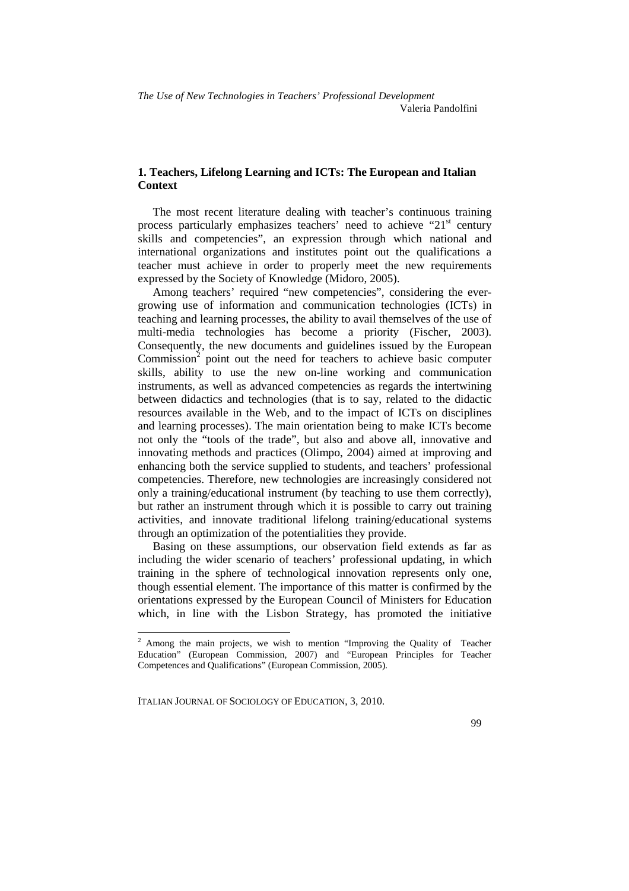## **1. Teachers, Lifelong Learning and ICTs: The European and Italian Context**

The most recent literature dealing with teacher's continuous training process particularly emphasizes teachers' need to achieve "21<sup>st</sup> century skills and competencies", an expression through which national and international organizations and institutes point out the qualifications a teacher must achieve in order to properly meet the new requirements expressed by the Society of Knowledge (Midoro, 2005).

Among teachers' required "new competencies", considering the evergrowing use of information and communication technologies (ICTs) in teaching and learning processes, the ability to avail themselves of the use of multi-media technologies has become a priority (Fischer, 2003). Consequently, the new documents and guidelines issued by the European Commission $2$  point out the need for teachers to achieve basic computer skills, ability to use the new on-line working and communication instruments, as well as advanced competencies as regards the intertwining between didactics and technologies (that is to say, related to the didactic resources available in the Web, and to the impact of ICTs on disciplines and learning processes). The main orientation being to make ICTs become not only the "tools of the trade", but also and above all, innovative and innovating methods and practices (Olimpo, 2004) aimed at improving and enhancing both the service supplied to students, and teachers' professional competencies. Therefore, new technologies are increasingly considered not only a training/educational instrument (by teaching to use them correctly), but rather an instrument through which it is possible to carry out training activities, and innovate traditional lifelong training/educational systems through an optimization of the potentialities they provide.

Basing on these assumptions, our observation field extends as far as including the wider scenario of teachers' professional updating, in which training in the sphere of technological innovation represents only one, though essential element. The importance of this matter is confirmed by the orientations expressed by the European Council of Ministers for Education which, in line with the Lisbon Strategy, has promoted the initiative

<sup>&</sup>lt;sup>2</sup> Among the main projects, we wish to mention "Improving the Quality of Teacher Education" (European Commission, 2007) and "European Principles for Teacher Competences and Qualifications" (European Commission, 2005).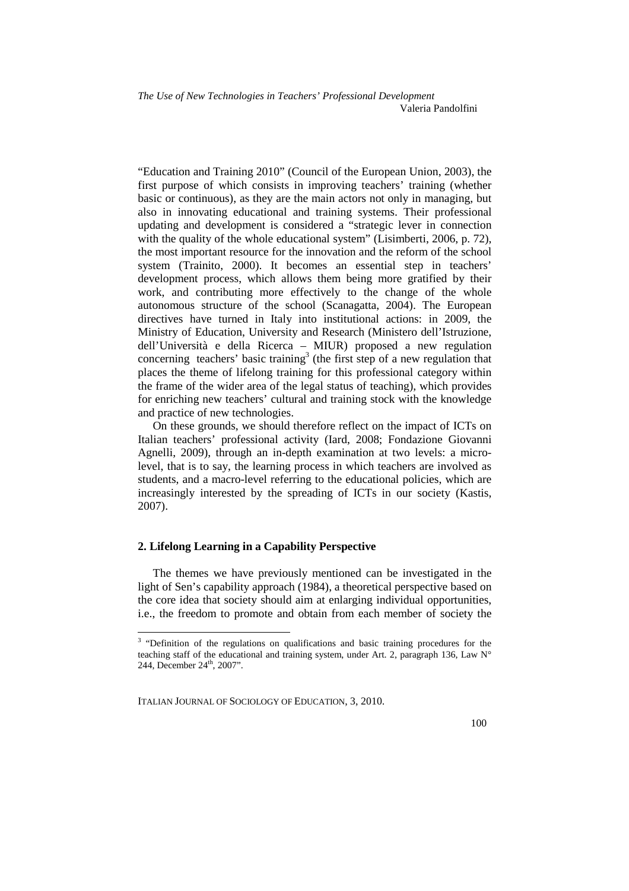"Education and Training 2010" (Council of the European Union, 2003), the first purpose of which consists in improving teachers' training (whether basic or continuous), as they are the main actors not only in managing, but also in innovating educational and training systems. Their professional updating and development is considered a "strategic lever in connection with the quality of the whole educational system" (Lisimberti, 2006, p. 72), the most important resource for the innovation and the reform of the school system (Trainito, 2000). It becomes an essential step in teachers' development process, which allows them being more gratified by their work, and contributing more effectively to the change of the whole autonomous structure of the school (Scanagatta, 2004). The European directives have turned in Italy into institutional actions: in 2009, the Ministry of Education, University and Research (Ministero dell'Istruzione, dell'Università e della Ricerca – MIUR) proposed a new regulation concerning teachers' basic training<sup>3</sup> (the first step of a new regulation that places the theme of lifelong training for this professional category within the frame of the wider area of the legal status of teaching), which provides for enriching new teachers' cultural and training stock with the knowledge and practice of new technologies.

On these grounds, we should therefore reflect on the impact of ICTs on Italian teachers' professional activity (Iard, 2008; Fondazione Giovanni Agnelli, 2009), through an in-depth examination at two levels: a microlevel, that is to say, the learning process in which teachers are involved as students, and a macro-level referring to the educational policies, which are increasingly interested by the spreading of ICTs in our society (Kastis, 2007).

## **2. Lifelong Learning in a Capability Perspective**

The themes we have previously mentioned can be investigated in the light of Sen's capability approach (1984), a theoretical perspective based on the core idea that society should aim at enlarging individual opportunities, i.e., the freedom to promote and obtain from each member of society the

<sup>&</sup>lt;sup>3</sup> "Definition of the regulations on qualifications and basic training procedures for the teaching staff of the educational and training system, under Art. 2, paragraph 136, Law  $N^{\circ}$ 244, December 24<sup>th</sup>, 2007".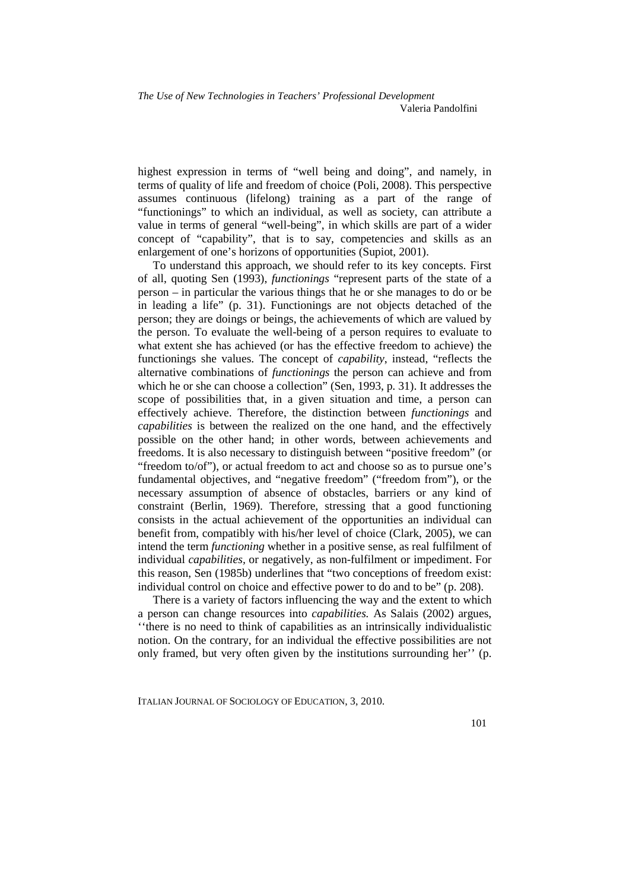highest expression in terms of "well being and doing", and namely, in terms of quality of life and freedom of choice (Poli, 2008). This perspective assumes continuous (lifelong) training as a part of the range of "functionings" to which an individual, as well as society, can attribute a value in terms of general "well-being", in which skills are part of a wider concept of "capability", that is to say, competencies and skills as an enlargement of one's horizons of opportunities (Supiot, 2001).

To understand this approach, we should refer to its key concepts. First of all, quoting Sen (1993), *functionings* "represent parts of the state of a person – in particular the various things that he or she manages to do or be in leading a life" (p. 31). Functionings are not objects detached of the person; they are doings or beings, the achievements of which are valued by the person. To evaluate the well-being of a person requires to evaluate to what extent she has achieved (or has the effective freedom to achieve) the functionings she values. The concept of *capability*, instead, "reflects the alternative combinations of *functionings* the person can achieve and from which he or she can choose a collection" (Sen, 1993, p. 31). It addresses the scope of possibilities that, in a given situation and time, a person can effectively achieve. Therefore, the distinction between *functionings* and *capabilities* is between the realized on the one hand, and the effectively possible on the other hand; in other words, between achievements and freedoms. It is also necessary to distinguish between "positive freedom" (or "freedom to/of"), or actual freedom to act and choose so as to pursue one's fundamental objectives, and "negative freedom" ("freedom from"), or the necessary assumption of absence of obstacles, barriers or any kind of constraint (Berlin, 1969). Therefore, stressing that a good functioning consists in the actual achievement of the opportunities an individual can benefit from, compatibly with his/her level of choice (Clark, 2005), we can intend the term *functioning* whether in a positive sense, as real fulfilment of individual *capabilities,* or negatively, as non-fulfilment or impediment. For this reason, Sen (1985b) underlines that "two conceptions of freedom exist: individual control on choice and effective power to do and to be" (p. 208).

There is a variety of factors influencing the way and the extent to which a person can change resources into *capabilities.* As Salais (2002) argues, ''there is no need to think of capabilities as an intrinsically individualistic notion. On the contrary, for an individual the effective possibilities are not only framed, but very often given by the institutions surrounding her'' (p.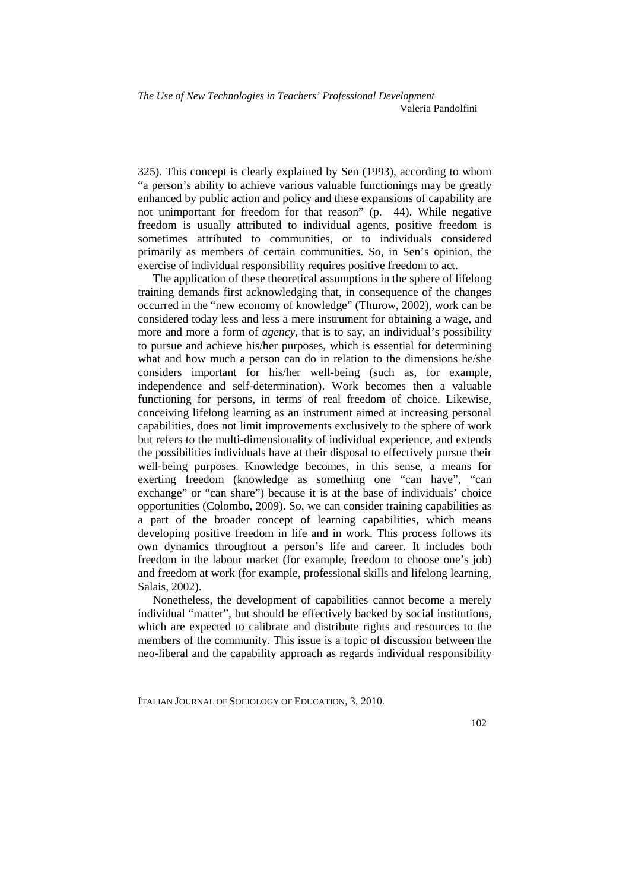325). This concept is clearly explained by Sen (1993), according to whom "a person's ability to achieve various valuable functionings may be greatly enhanced by public action and policy and these expansions of capability are not unimportant for freedom for that reason" (p. 44). While negative freedom is usually attributed to individual agents, positive freedom is sometimes attributed to communities, or to individuals considered primarily as members of certain communities. So, in Sen's opinion, the exercise of individual responsibility requires positive freedom to act.

The application of these theoretical assumptions in the sphere of lifelong training demands first acknowledging that, in consequence of the changes occurred in the "new economy of knowledge" (Thurow, 2002), work can be considered today less and less a mere instrument for obtaining a wage, and more and more a form of *agency*, that is to say, an individual's possibility to pursue and achieve his/her purposes, which is essential for determining what and how much a person can do in relation to the dimensions he/she considers important for his/her well-being (such as, for example, independence and self-determination). Work becomes then a valuable functioning for persons, in terms of real freedom of choice. Likewise, conceiving lifelong learning as an instrument aimed at increasing personal capabilities, does not limit improvements exclusively to the sphere of work but refers to the multi-dimensionality of individual experience, and extends the possibilities individuals have at their disposal to effectively pursue their well-being purposes. Knowledge becomes, in this sense, a means for exerting freedom (knowledge as something one "can have", "can exchange" or "can share") because it is at the base of individuals' choice opportunities (Colombo, 2009). So, we can consider training capabilities as a part of the broader concept of learning capabilities, which means developing positive freedom in life and in work. This process follows its own dynamics throughout a person's life and career. It includes both freedom in the labour market (for example, freedom to choose one's job) and freedom at work (for example, professional skills and lifelong learning, Salais, 2002).

Nonetheless, the development of capabilities cannot become a merely individual "matter", but should be effectively backed by social institutions, which are expected to calibrate and distribute rights and resources to the members of the community. This issue is a topic of discussion between the neo-liberal and the capability approach as regards individual responsibility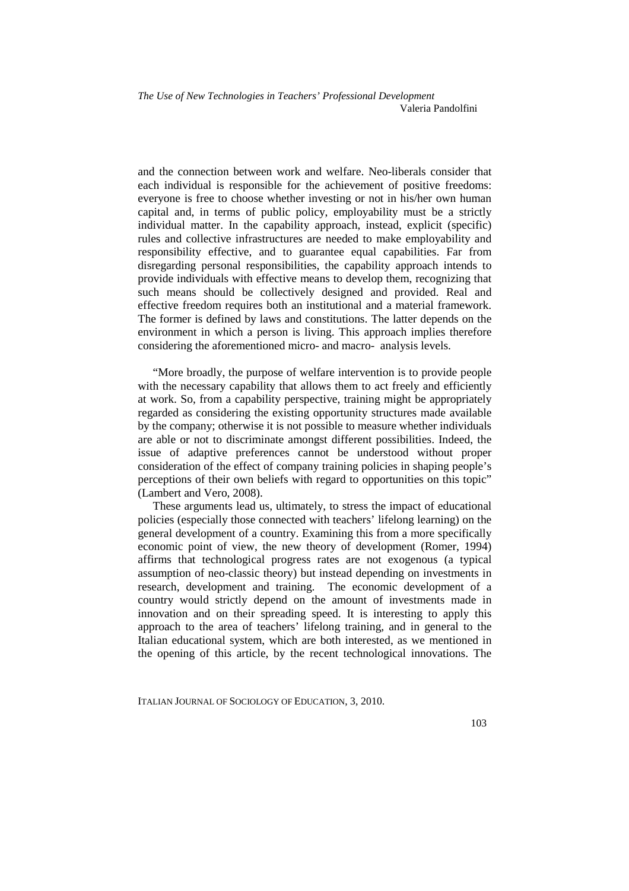and the connection between work and welfare. Neo-liberals consider that each individual is responsible for the achievement of positive freedoms: everyone is free to choose whether investing or not in his/her own human capital and, in terms of public policy, employability must be a strictly individual matter. In the capability approach, instead, explicit (specific) rules and collective infrastructures are needed to make employability and responsibility effective, and to guarantee equal capabilities. Far from disregarding personal responsibilities, the capability approach intends to provide individuals with effective means to develop them, recognizing that such means should be collectively designed and provided. Real and effective freedom requires both an institutional and a material framework. The former is defined by laws and constitutions. The latter depends on the environment in which a person is living. This approach implies therefore considering the aforementioned micro- and macro- analysis levels.

"More broadly, the purpose of welfare intervention is to provide people with the necessary capability that allows them to act freely and efficiently at work. So, from a capability perspective, training might be appropriately regarded as considering the existing opportunity structures made available by the company; otherwise it is not possible to measure whether individuals are able or not to discriminate amongst different possibilities. Indeed, the issue of adaptive preferences cannot be understood without proper consideration of the effect of company training policies in shaping people's perceptions of their own beliefs with regard to opportunities on this topic" (Lambert and Vero, 2008).

These arguments lead us, ultimately, to stress the impact of educational policies (especially those connected with teachers' lifelong learning) on the general development of a country. Examining this from a more specifically economic point of view, the new theory of development (Romer, 1994) affirms that technological progress rates are not exogenous (a typical assumption of neo-classic theory) but instead depending on investments in research, development and training. The economic development of a country would strictly depend on the amount of investments made in innovation and on their spreading speed. It is interesting to apply this approach to the area of teachers' lifelong training, and in general to the Italian educational system, which are both interested, as we mentioned in the opening of this article, by the recent technological innovations. The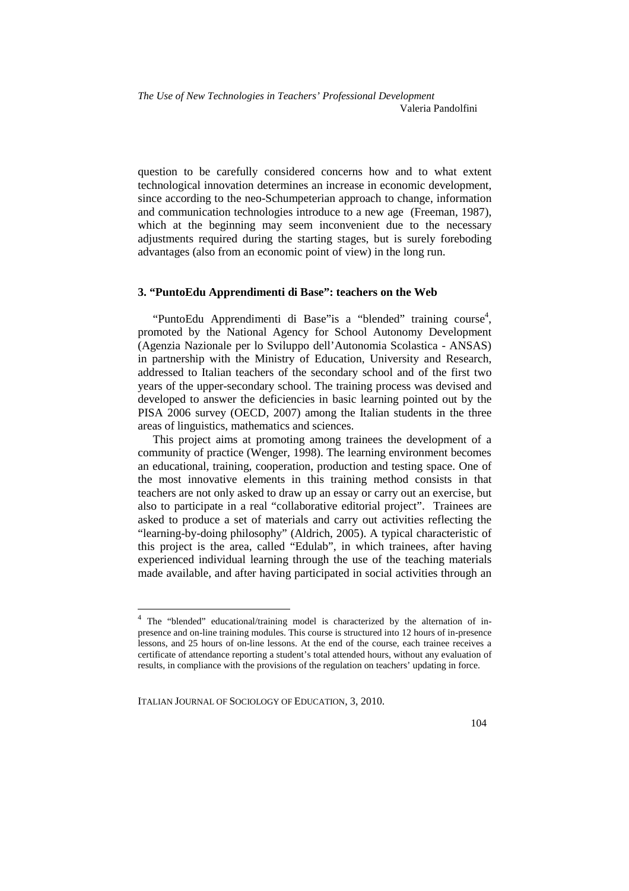question to be carefully considered concerns how and to what extent technological innovation determines an increase in economic development, since according to the neo-Schumpeterian approach to change, information and communication technologies introduce to a new age (Freeman, 1987), which at the beginning may seem inconvenient due to the necessary adjustments required during the starting stages, but is surely foreboding advantages (also from an economic point of view) in the long run.

#### **3. "PuntoEdu Apprendimenti di Base": teachers on the Web**

"PuntoEdu Apprendimenti di Base"is a "blended" training course<sup>4</sup>, promoted by the National Agency for School Autonomy Development (Agenzia Nazionale per lo Sviluppo dell'Autonomia Scolastica - ANSAS) in partnership with the Ministry of Education, University and Research, addressed to Italian teachers of the secondary school and of the first two years of the upper-secondary school. The training process was devised and developed to answer the deficiencies in basic learning pointed out by the PISA 2006 survey (OECD, 2007) among the Italian students in the three areas of linguistics, mathematics and sciences.

This project aims at promoting among trainees the development of a community of practice (Wenger, 1998). The learning environment becomes an educational, training, cooperation, production and testing space. One of the most innovative elements in this training method consists in that teachers are not only asked to draw up an essay or carry out an exercise, but also to participate in a real "collaborative editorial project". Trainees are asked to produce a set of materials and carry out activities reflecting the "learning-by-doing philosophy" (Aldrich, 2005). A typical characteristic of this project is the area, called "Edulab", in which trainees, after having experienced individual learning through the use of the teaching materials made available, and after having participated in social activities through an

 4 The "blended" educational/training model is characterized by the alternation of inpresence and on-line training modules. This course is structured into 12 hours of in-presence lessons, and 25 hours of on-line lessons. At the end of the course, each trainee receives a certificate of attendance reporting a student's total attended hours, without any evaluation of results, in compliance with the provisions of the regulation on teachers' updating in force.

ITALIAN JOURNAL OF SOCIOLOGY OF EDUCATION, 3, 2010.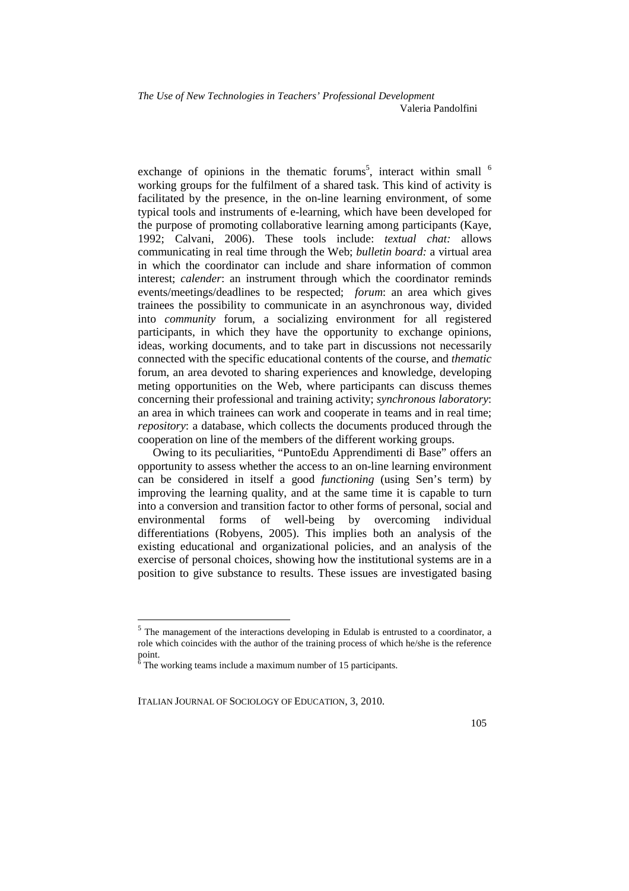exchange of opinions in the thematic forums<sup>5</sup>, interact within small  $\delta$ working groups for the fulfilment of a shared task. This kind of activity is facilitated by the presence, in the on-line learning environment, of some typical tools and instruments of e-learning, which have been developed for the purpose of promoting collaborative learning among participants (Kaye, 1992; Calvani, 2006). These tools include: *textual chat:* allows communicating in real time through the Web; *bulletin board:* a virtual area in which the coordinator can include and share information of common interest; *calender*: an instrument through which the coordinator reminds events/meetings/deadlines to be respected; *forum*: an area which gives trainees the possibility to communicate in an asynchronous way, divided into *community* forum, a socializing environment for all registered participants, in which they have the opportunity to exchange opinions, ideas, working documents, and to take part in discussions not necessarily connected with the specific educational contents of the course, and *thematic*  forum, an area devoted to sharing experiences and knowledge, developing meting opportunities on the Web, where participants can discuss themes concerning their professional and training activity; *synchronous laboratory*: an area in which trainees can work and cooperate in teams and in real time; *repository*: a database, which collects the documents produced through the cooperation on line of the members of the different working groups.

Owing to its peculiarities, "PuntoEdu Apprendimenti di Base" offers an opportunity to assess whether the access to an on-line learning environment can be considered in itself a good *functioning* (using Sen's term) by improving the learning quality, and at the same time it is capable to turn into a conversion and transition factor to other forms of personal, social and environmental forms of well-being by overcoming individual differentiations (Robyens, 2005). This implies both an analysis of the existing educational and organizational policies, and an analysis of the exercise of personal choices, showing how the institutional systems are in a position to give substance to results. These issues are investigated basing

 $\overline{a}$ 

<sup>&</sup>lt;sup>5</sup> The management of the interactions developing in Edulab is entrusted to a coordinator, a role which coincides with the author of the training process of which he/she is the reference

point.<br><sup>6</sup> The working teams include a maximum number of 15 participants.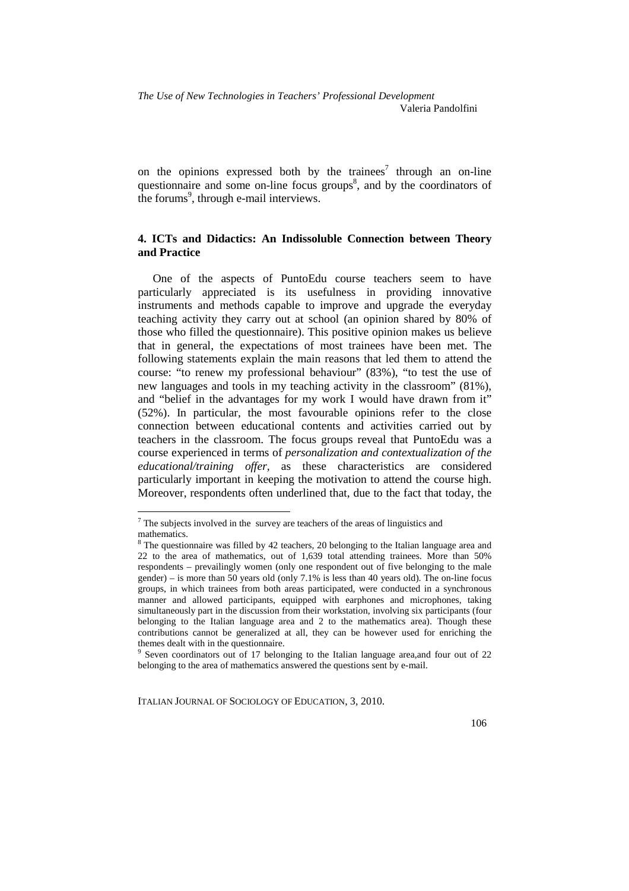on the opinions expressed both by the trainees<sup>7</sup> through an on-line questionnaire and some on-line focus groups<sup>8</sup>, and by the coordinators of the forums<sup>9</sup>, through e-mail interviews.

## **4. ICTs and Didactics: An Indissoluble Connection between Theory and Practice**

One of the aspects of PuntoEdu course teachers seem to have particularly appreciated is its usefulness in providing innovative instruments and methods capable to improve and upgrade the everyday teaching activity they carry out at school (an opinion shared by 80% of those who filled the questionnaire). This positive opinion makes us believe that in general, the expectations of most trainees have been met. The following statements explain the main reasons that led them to attend the course: "to renew my professional behaviour" (83%), "to test the use of new languages and tools in my teaching activity in the classroom" (81%), and "belief in the advantages for my work I would have drawn from it" (52%). In particular, the most favourable opinions refer to the close connection between educational contents and activities carried out by teachers in the classroom. The focus groups reveal that PuntoEdu was a course experienced in terms of *personalization and contextualization of the educational/training offer,* as these characteristics are considered particularly important in keeping the motivation to attend the course high. Moreover, respondents often underlined that, due to the fact that today, the

 $\overline{a}$ 

 $7$  The subjects involved in the survey are teachers of the areas of linguistics and mathematics.

<sup>&</sup>lt;sup>8</sup> The questionnaire was filled by 42 teachers, 20 belonging to the Italian language area and 22 to the area of mathematics, out of 1,639 total attending trainees. More than 50% respondents – prevailingly women (only one respondent out of five belonging to the male gender) – is more than 50 years old (only 7.1% is less than 40 years old). The on-line focus groups, in which trainees from both areas participated, were conducted in a synchronous manner and allowed participants, equipped with earphones and microphones, taking simultaneously part in the discussion from their workstation, involving six participants (four belonging to the Italian language area and 2 to the mathematics area). Though these contributions cannot be generalized at all, they can be however used for enriching the themes dealt with in the questionnaire.

<sup>&</sup>lt;sup>9</sup> Seven coordinators out of 17 belonging to the Italian language area, and four out of 22 belonging to the area of mathematics answered the questions sent by e-mail.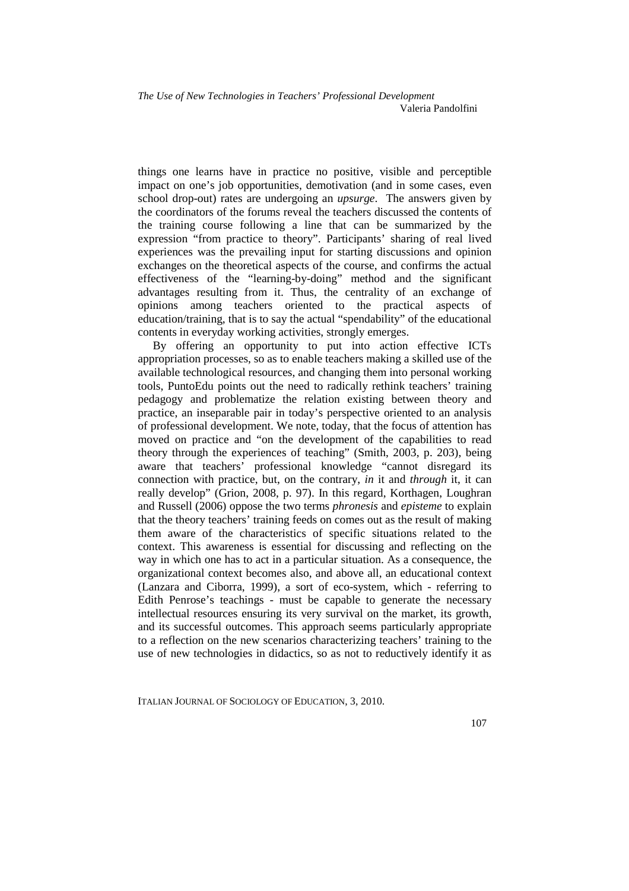things one learns have in practice no positive, visible and perceptible impact on one's job opportunities, demotivation (and in some cases, even school drop-out) rates are undergoing an *upsurge*. The answers given by the coordinators of the forums reveal the teachers discussed the contents of the training course following a line that can be summarized by the expression "from practice to theory". Participants' sharing of real lived experiences was the prevailing input for starting discussions and opinion exchanges on the theoretical aspects of the course, and confirms the actual effectiveness of the "learning-by-doing" method and the significant advantages resulting from it. Thus, the centrality of an exchange of opinions among teachers oriented to the practical aspects of education/training, that is to say the actual "spendability" of the educational contents in everyday working activities, strongly emerges.

By offering an opportunity to put into action effective ICTs appropriation processes, so as to enable teachers making a skilled use of the available technological resources, and changing them into personal working tools, PuntoEdu points out the need to radically rethink teachers' training pedagogy and problematize the relation existing between theory and practice, an inseparable pair in today's perspective oriented to an analysis of professional development. We note, today, that the focus of attention has moved on practice and "on the development of the capabilities to read theory through the experiences of teaching" (Smith, 2003, p. 203), being aware that teachers' professional knowledge "cannot disregard its connection with practice, but, on the contrary, *in* it and *through* it, it can really develop" (Grion, 2008, p. 97). In this regard, Korthagen, Loughran and Russell (2006) oppose the two terms *phronesis* and *episteme* to explain that the theory teachers' training feeds on comes out as the result of making them aware of the characteristics of specific situations related to the context. This awareness is essential for discussing and reflecting on the way in which one has to act in a particular situation. As a consequence, the organizational context becomes also, and above all, an educational context (Lanzara and Ciborra, 1999), a sort of eco-system, which - referring to Edith Penrose's teachings - must be capable to generate the necessary intellectual resources ensuring its very survival on the market, its growth, and its successful outcomes. This approach seems particularly appropriate to a reflection on the new scenarios characterizing teachers' training to the use of new technologies in didactics, so as not to reductively identify it as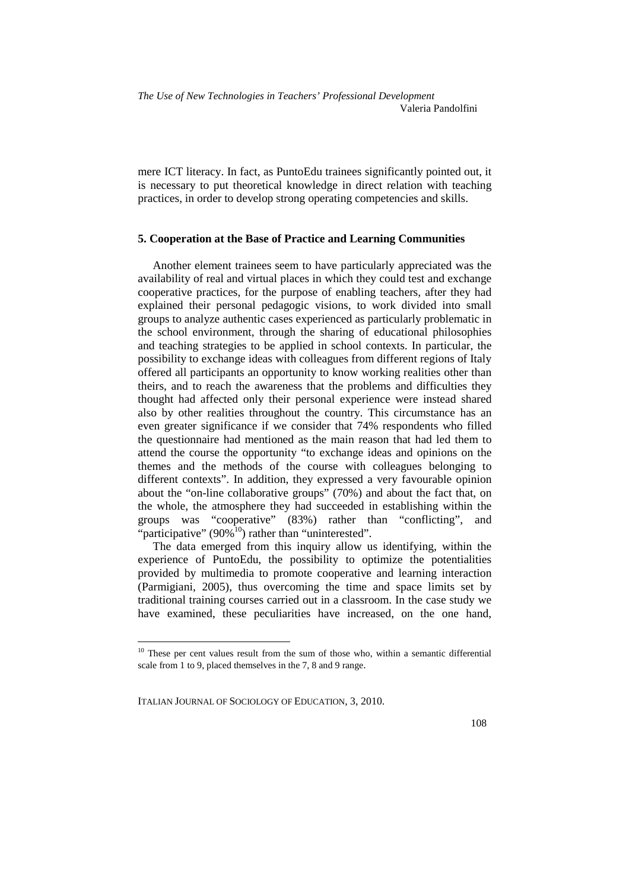mere ICT literacy. In fact, as PuntoEdu trainees significantly pointed out, it is necessary to put theoretical knowledge in direct relation with teaching practices, in order to develop strong operating competencies and skills.

#### **5. Cooperation at the Base of Practice and Learning Communities**

Another element trainees seem to have particularly appreciated was the availability of real and virtual places in which they could test and exchange cooperative practices, for the purpose of enabling teachers, after they had explained their personal pedagogic visions, to work divided into small groups to analyze authentic cases experienced as particularly problematic in the school environment, through the sharing of educational philosophies and teaching strategies to be applied in school contexts. In particular, the possibility to exchange ideas with colleagues from different regions of Italy offered all participants an opportunity to know working realities other than theirs, and to reach the awareness that the problems and difficulties they thought had affected only their personal experience were instead shared also by other realities throughout the country. This circumstance has an even greater significance if we consider that 74% respondents who filled the questionnaire had mentioned as the main reason that had led them to attend the course the opportunity "to exchange ideas and opinions on the themes and the methods of the course with colleagues belonging to different contexts". In addition, they expressed a very favourable opinion about the "on-line collaborative groups" (70%) and about the fact that, on the whole, the atmosphere they had succeeded in establishing within the groups was "cooperative" (83%) rather than "conflicting", and "participative" (90% $^{10}$ ) rather than "uninterested".

The data emerged from this inquiry allow us identifying, within the experience of PuntoEdu, the possibility to optimize the potentialities provided by multimedia to promote cooperative and learning interaction (Parmigiani, 2005), thus overcoming the time and space limits set by traditional training courses carried out in a classroom. In the case study we have examined, these peculiarities have increased, on the one hand,

ITALIAN JOURNAL OF SOCIOLOGY OF EDUCATION, 3, 2010.

 $\overline{a}$ 

<sup>&</sup>lt;sup>10</sup> These per cent values result from the sum of those who, within a semantic differential scale from 1 to 9, placed themselves in the 7, 8 and 9 range.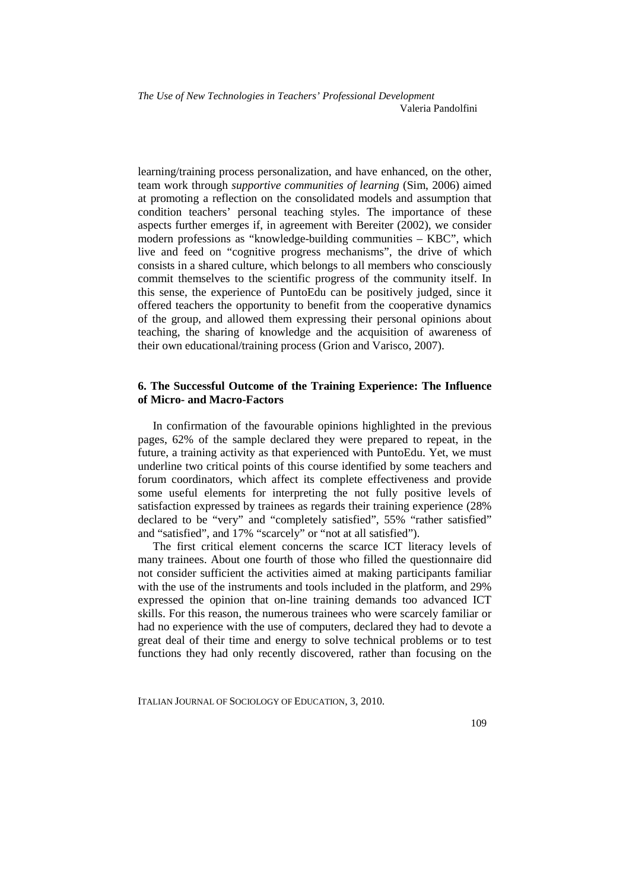*The Use of New Technologies in Teachers' Professional Development* Valeria Pandolfini

learning/training process personalization, and have enhanced, on the other, team work through *supportive communities of learning* (Sim, 2006) aimed at promoting a reflection on the consolidated models and assumption that condition teachers' personal teaching styles. The importance of these aspects further emerges if, in agreement with Bereiter (2002), we consider modern professions as "knowledge-building communities – KBC", which live and feed on "cognitive progress mechanisms", the drive of which consists in a shared culture, which belongs to all members who consciously commit themselves to the scientific progress of the community itself. In this sense, the experience of PuntoEdu can be positively judged, since it offered teachers the opportunity to benefit from the cooperative dynamics of the group, and allowed them expressing their personal opinions about teaching, the sharing of knowledge and the acquisition of awareness of their own educational/training process (Grion and Varisco, 2007).

#### **6. The Successful Outcome of the Training Experience: The Influence of Micro- and Macro-Factors**

In confirmation of the favourable opinions highlighted in the previous pages, 62% of the sample declared they were prepared to repeat, in the future, a training activity as that experienced with PuntoEdu. Yet, we must underline two critical points of this course identified by some teachers and forum coordinators, which affect its complete effectiveness and provide some useful elements for interpreting the not fully positive levels of satisfaction expressed by trainees as regards their training experience (28% declared to be "very" and "completely satisfied", 55% "rather satisfied" and "satisfied", and 17% "scarcely" or "not at all satisfied").

The first critical element concerns the scarce ICT literacy levels of many trainees. About one fourth of those who filled the questionnaire did not consider sufficient the activities aimed at making participants familiar with the use of the instruments and tools included in the platform, and 29% expressed the opinion that on-line training demands too advanced ICT skills. For this reason, the numerous trainees who were scarcely familiar or had no experience with the use of computers, declared they had to devote a great deal of their time and energy to solve technical problems or to test functions they had only recently discovered, rather than focusing on the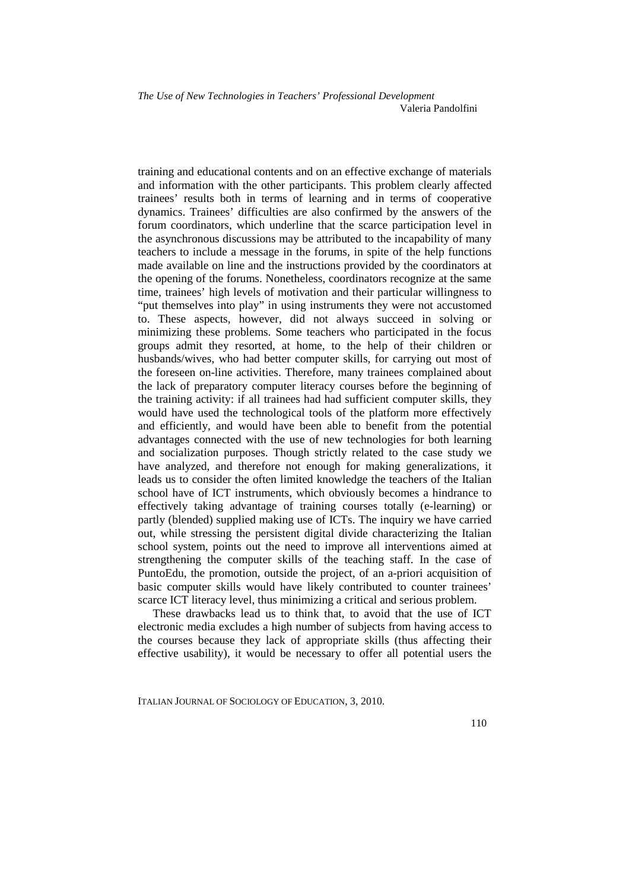training and educational contents and on an effective exchange of materials and information with the other participants. This problem clearly affected trainees' results both in terms of learning and in terms of cooperative dynamics. Trainees' difficulties are also confirmed by the answers of the forum coordinators, which underline that the scarce participation level in the asynchronous discussions may be attributed to the incapability of many teachers to include a message in the forums, in spite of the help functions made available on line and the instructions provided by the coordinators at the opening of the forums. Nonetheless, coordinators recognize at the same time, trainees' high levels of motivation and their particular willingness to "put themselves into play" in using instruments they were not accustomed to. These aspects, however, did not always succeed in solving or minimizing these problems. Some teachers who participated in the focus groups admit they resorted, at home, to the help of their children or husbands/wives, who had better computer skills, for carrying out most of the foreseen on-line activities. Therefore, many trainees complained about the lack of preparatory computer literacy courses before the beginning of the training activity: if all trainees had had sufficient computer skills, they would have used the technological tools of the platform more effectively and efficiently, and would have been able to benefit from the potential advantages connected with the use of new technologies for both learning and socialization purposes. Though strictly related to the case study we have analyzed, and therefore not enough for making generalizations, it leads us to consider the often limited knowledge the teachers of the Italian school have of ICT instruments, which obviously becomes a hindrance to effectively taking advantage of training courses totally (e-learning) or partly (blended) supplied making use of ICTs. The inquiry we have carried out, while stressing the persistent digital divide characterizing the Italian school system, points out the need to improve all interventions aimed at strengthening the computer skills of the teaching staff. In the case of PuntoEdu, the promotion, outside the project, of an a-priori acquisition of basic computer skills would have likely contributed to counter trainees' scarce ICT literacy level, thus minimizing a critical and serious problem.

These drawbacks lead us to think that, to avoid that the use of ICT electronic media excludes a high number of subjects from having access to the courses because they lack of appropriate skills (thus affecting their effective usability), it would be necessary to offer all potential users the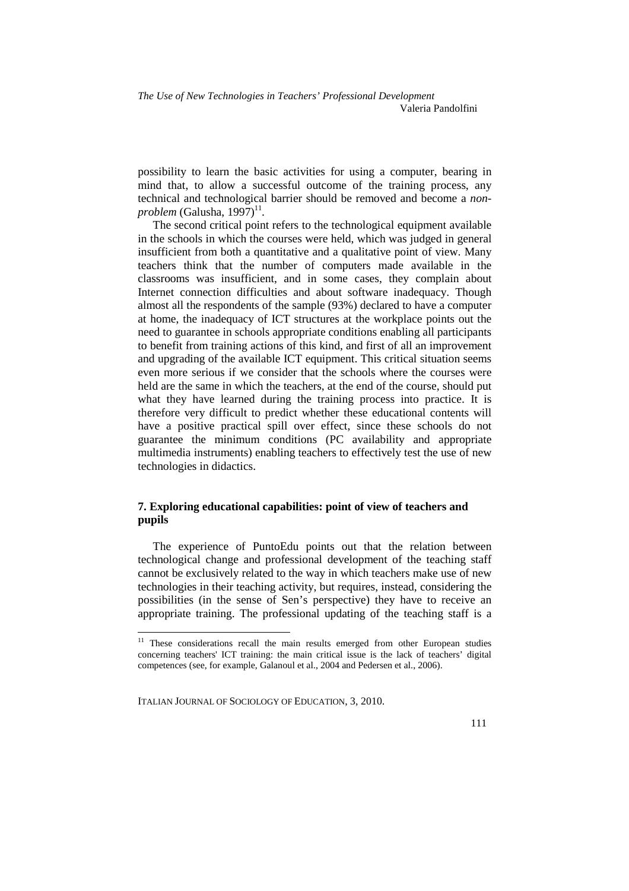possibility to learn the basic activities for using a computer, bearing in mind that, to allow a successful outcome of the training process, any technical and technological barrier should be removed and become a *non* $problem$  (Galusha, 1997)<sup>11</sup>.

The second critical point refers to the technological equipment available in the schools in which the courses were held, which was judged in general insufficient from both a quantitative and a qualitative point of view. Many teachers think that the number of computers made available in the classrooms was insufficient, and in some cases, they complain about Internet connection difficulties and about software inadequacy. Though almost all the respondents of the sample (93%) declared to have a computer at home, the inadequacy of ICT structures at the workplace points out the need to guarantee in schools appropriate conditions enabling all participants to benefit from training actions of this kind, and first of all an improvement and upgrading of the available ICT equipment. This critical situation seems even more serious if we consider that the schools where the courses were held are the same in which the teachers, at the end of the course, should put what they have learned during the training process into practice. It is therefore very difficult to predict whether these educational contents will have a positive practical spill over effect, since these schools do not guarantee the minimum conditions (PC availability and appropriate multimedia instruments) enabling teachers to effectively test the use of new technologies in didactics.

## **7. Exploring educational capabilities: point of view of teachers and pupils**

The experience of PuntoEdu points out that the relation between technological change and professional development of the teaching staff cannot be exclusively related to the way in which teachers make use of new technologies in their teaching activity, but requires, instead, considering the possibilities (in the sense of Sen's perspective) they have to receive an appropriate training. The professional updating of the teaching staff is a

ITALIAN JOURNAL OF SOCIOLOGY OF EDUCATION, 3, 2010.

 $\overline{a}$ 

<sup>&</sup>lt;sup>11</sup> These considerations recall the main results emerged from other European studies concerning teachers' ICT training: the main critical issue is the lack of teachers' digital competences (see, for example, Galanoul et al., 2004 and Pedersen et al., 2006).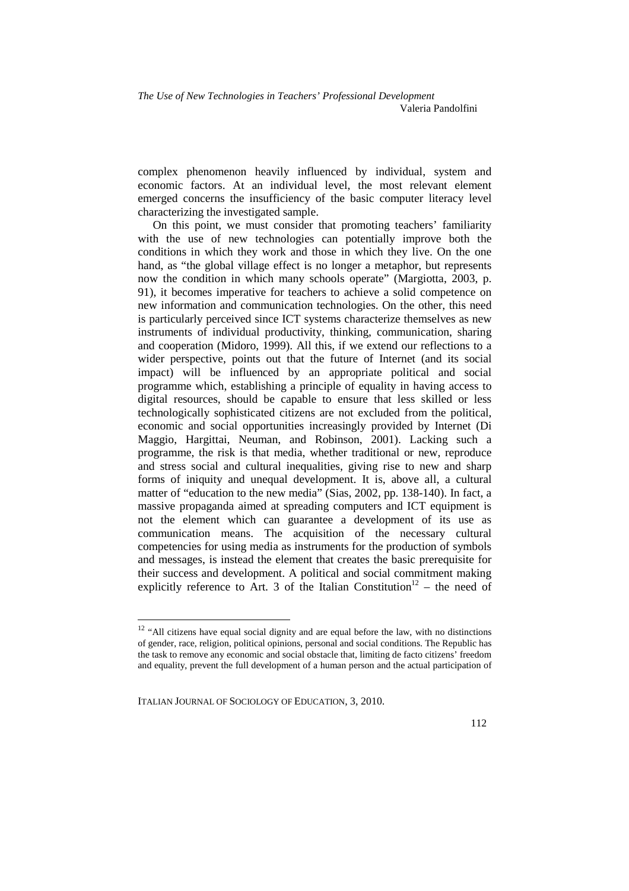complex phenomenon heavily influenced by individual, system and economic factors. At an individual level, the most relevant element emerged concerns the insufficiency of the basic computer literacy level characterizing the investigated sample.

On this point, we must consider that promoting teachers' familiarity with the use of new technologies can potentially improve both the conditions in which they work and those in which they live. On the one hand, as "the global village effect is no longer a metaphor, but represents now the condition in which many schools operate" (Margiotta, 2003, p. 91), it becomes imperative for teachers to achieve a solid competence on new information and communication technologies. On the other, this need is particularly perceived since ICT systems characterize themselves as new instruments of individual productivity, thinking, communication, sharing and cooperation (Midoro, 1999). All this, if we extend our reflections to a wider perspective, points out that the future of Internet (and its social impact) will be influenced by an appropriate political and social programme which, establishing a principle of equality in having access to digital resources, should be capable to ensure that less skilled or less technologically sophisticated citizens are not excluded from the political, economic and social opportunities increasingly provided by Internet (Di Maggio, Hargittai, Neuman, and Robinson, 2001). Lacking such a programme, the risk is that media, whether traditional or new, reproduce and stress social and cultural inequalities, giving rise to new and sharp forms of iniquity and unequal development. It is, above all, a cultural matter of "education to the new media" (Sias, 2002, pp. 138-140). In fact, a massive propaganda aimed at spreading computers and ICT equipment is not the element which can guarantee a development of its use as communication means. The acquisition of the necessary cultural competencies for using media as instruments for the production of symbols and messages, is instead the element that creates the basic prerequisite for their success and development. A political and social commitment making explicitly reference to Art. 3 of the Italian Constitution<sup>12</sup> – the need of

 $\overline{a}$ 

 $12$  "All citizens have equal social dignity and are equal before the law, with no distinctions of gender, race, religion, political opinions, personal and social conditions. The Republic has the task to remove any economic and social obstacle that, limiting de facto citizens' freedom and equality, prevent the full development of a human person and the actual participation of

ITALIAN JOURNAL OF SOCIOLOGY OF EDUCATION, 3, 2010.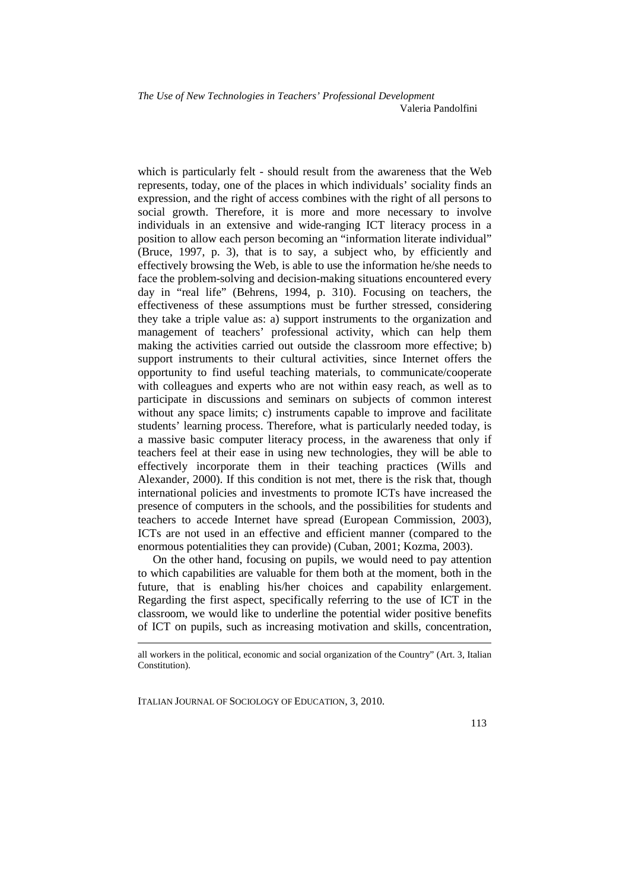which is particularly felt - should result from the awareness that the Web represents, today, one of the places in which individuals' sociality finds an expression, and the right of access combines with the right of all persons to social growth. Therefore, it is more and more necessary to involve individuals in an extensive and wide-ranging ICT literacy process in a position to allow each person becoming an "information literate individual" (Bruce, 1997, p. 3), that is to say, a subject who, by efficiently and effectively browsing the Web, is able to use the information he/she needs to face the problem-solving and decision-making situations encountered every day in "real life" (Behrens, 1994, p. 310). Focusing on teachers, the effectiveness of these assumptions must be further stressed, considering they take a triple value as: a) support instruments to the organization and management of teachers' professional activity, which can help them making the activities carried out outside the classroom more effective; b) support instruments to their cultural activities, since Internet offers the opportunity to find useful teaching materials, to communicate/cooperate with colleagues and experts who are not within easy reach, as well as to participate in discussions and seminars on subjects of common interest without any space limits; c) instruments capable to improve and facilitate students' learning process. Therefore, what is particularly needed today, is a massive basic computer literacy process, in the awareness that only if teachers feel at their ease in using new technologies, they will be able to effectively incorporate them in their teaching practices (Wills and Alexander, 2000). If this condition is not met, there is the risk that, though international policies and investments to promote ICTs have increased the presence of computers in the schools, and the possibilities for students and teachers to accede Internet have spread (European Commission, 2003), ICTs are not used in an effective and efficient manner (compared to the enormous potentialities they can provide) (Cuban, 2001; Kozma, 2003).

On the other hand, focusing on pupils, we would need to pay attention to which capabilities are valuable for them both at the moment, both in the future, that is enabling his/her choices and capability enlargement. Regarding the first aspect, specifically referring to the use of ICT in the classroom, we would like to underline the potential wider positive benefits of ICT on pupils, such as increasing motivation and skills, concentration,

ITALIAN JOURNAL OF SOCIOLOGY OF EDUCATION, 3, 2010.

<u>.</u>

all workers in the political, economic and social organization of the Country" (Art. 3, Italian Constitution).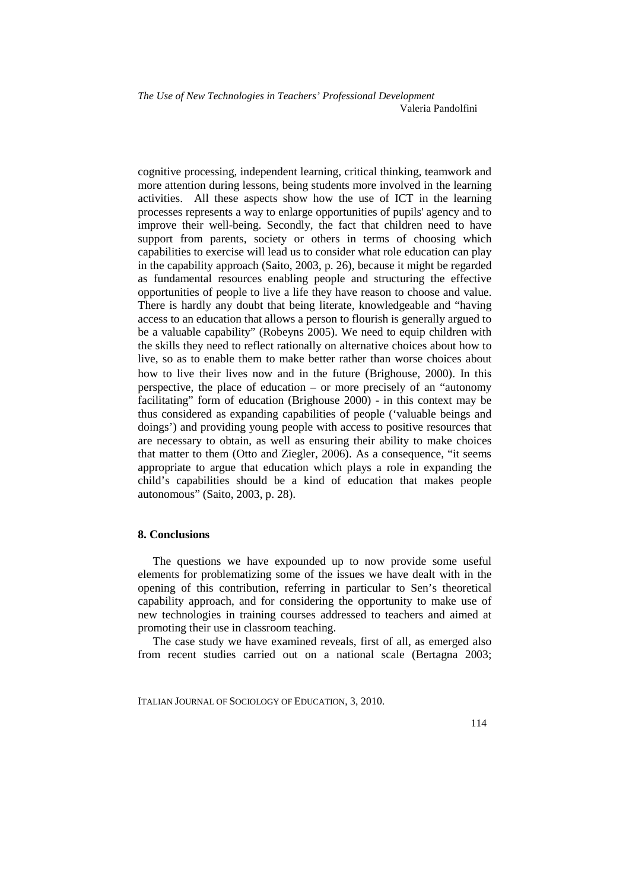cognitive processing, independent learning, critical thinking, teamwork and more attention during lessons, being students more involved in the learning activities. All these aspects show how the use of ICT in the learning processes represents a way to enlarge opportunities of pupils' agency and to improve their well-being. Secondly, the fact that children need to have support from parents, society or others in terms of choosing which capabilities to exercise will lead us to consider what role education can play in the capability approach (Saito, 2003, p. 26), because it might be regarded as fundamental resources enabling people and structuring the effective opportunities of people to live a life they have reason to choose and value. There is hardly any doubt that being literate, knowledgeable and "having access to an education that allows a person to flourish is generally argued to be a valuable capability" (Robeyns 2005). We need to equip children with the skills they need to reflect rationally on alternative choices about how to live, so as to enable them to make better rather than worse choices about how to live their lives now and in the future (Brighouse, 2000). In this perspective, the place of education – or more precisely of an "autonomy facilitating" form of education (Brighouse 2000) - in this context may be thus considered as expanding capabilities of people ('valuable beings and doings') and providing young people with access to positive resources that are necessary to obtain, as well as ensuring their ability to make choices that matter to them (Otto and Ziegler, 2006). As a consequence, "it seems appropriate to argue that education which plays a role in expanding the child's capabilities should be a kind of education that makes people autonomous" (Saito, 2003, p. 28).

#### **8. Conclusions**

The questions we have expounded up to now provide some useful elements for problematizing some of the issues we have dealt with in the opening of this contribution, referring in particular to Sen's theoretical capability approach, and for considering the opportunity to make use of new technologies in training courses addressed to teachers and aimed at promoting their use in classroom teaching.

The case study we have examined reveals, first of all, as emerged also from recent studies carried out on a national scale (Bertagna 2003;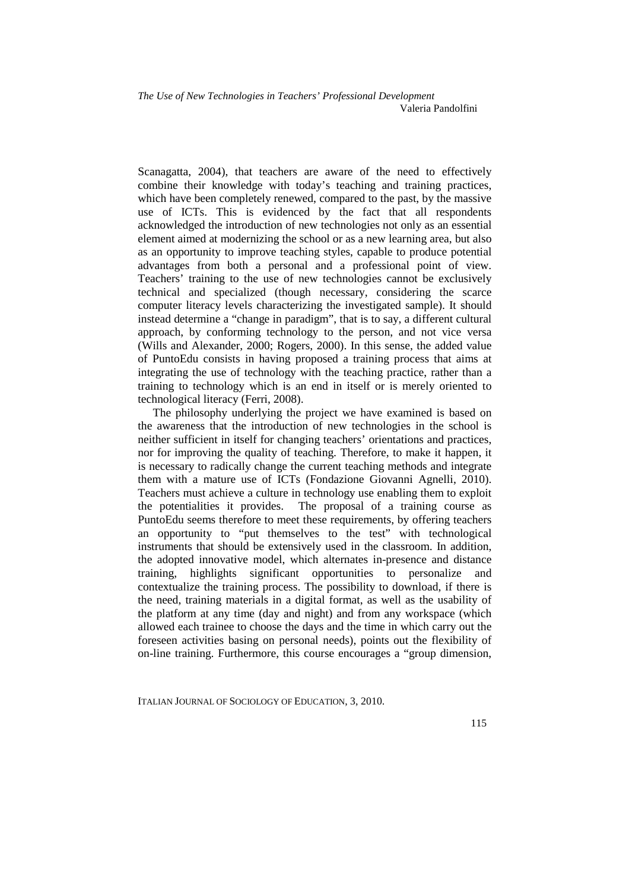Scanagatta, 2004), that teachers are aware of the need to effectively combine their knowledge with today's teaching and training practices, which have been completely renewed, compared to the past, by the massive use of ICTs. This is evidenced by the fact that all respondents acknowledged the introduction of new technologies not only as an essential element aimed at modernizing the school or as a new learning area, but also as an opportunity to improve teaching styles, capable to produce potential advantages from both a personal and a professional point of view. Teachers' training to the use of new technologies cannot be exclusively technical and specialized (though necessary, considering the scarce computer literacy levels characterizing the investigated sample). It should instead determine a "change in paradigm", that is to say, a different cultural approach, by conforming technology to the person, and not vice versa (Wills and Alexander, 2000; Rogers, 2000). In this sense, the added value of PuntoEdu consists in having proposed a training process that aims at integrating the use of technology with the teaching practice, rather than a training to technology which is an end in itself or is merely oriented to technological literacy (Ferri, 2008).

The philosophy underlying the project we have examined is based on the awareness that the introduction of new technologies in the school is neither sufficient in itself for changing teachers' orientations and practices, nor for improving the quality of teaching. Therefore, to make it happen, it is necessary to radically change the current teaching methods and integrate them with a mature use of ICTs (Fondazione Giovanni Agnelli, 2010). Teachers must achieve a culture in technology use enabling them to exploit the potentialities it provides. The proposal of a training course as PuntoEdu seems therefore to meet these requirements, by offering teachers an opportunity to "put themselves to the test" with technological instruments that should be extensively used in the classroom. In addition, the adopted innovative model, which alternates in-presence and distance training, highlights significant opportunities to personalize and contextualize the training process. The possibility to download, if there is the need, training materials in a digital format, as well as the usability of the platform at any time (day and night) and from any workspace (which allowed each trainee to choose the days and the time in which carry out the foreseen activities basing on personal needs), points out the flexibility of on-line training. Furthermore, this course encourages a "group dimension,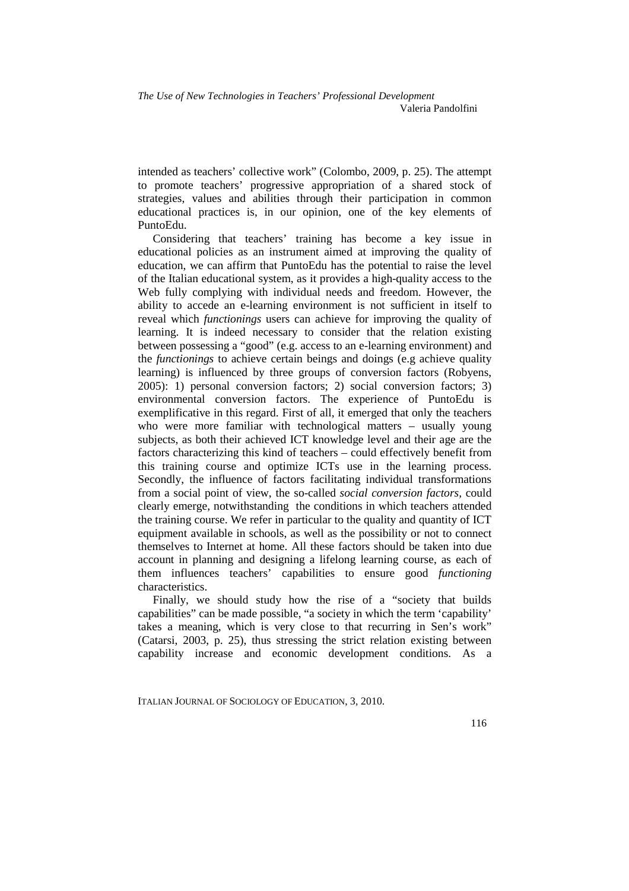intended as teachers' collective work" (Colombo, 2009, p. 25). The attempt to promote teachers' progressive appropriation of a shared stock of strategies, values and abilities through their participation in common educational practices is, in our opinion, one of the key elements of PuntoEdu.

Considering that teachers' training has become a key issue in educational policies as an instrument aimed at improving the quality of education, we can affirm that PuntoEdu has the potential to raise the level of the Italian educational system, as it provides a high-quality access to the Web fully complying with individual needs and freedom. However, the ability to accede an e-learning environment is not sufficient in itself to reveal which *functionings* users can achieve for improving the quality of learning. It is indeed necessary to consider that the relation existing between possessing a "good" (e.g. access to an e-learning environment) and the *functionings* to achieve certain beings and doings (e.g achieve quality learning) is influenced by three groups of conversion factors (Robyens, 2005): 1) personal conversion factors; 2) social conversion factors; 3) environmental conversion factors. The experience of PuntoEdu is exemplificative in this regard. First of all, it emerged that only the teachers who were more familiar with technological matters – usually young subjects, as both their achieved ICT knowledge level and their age are the factors characterizing this kind of teachers – could effectively benefit from this training course and optimize ICTs use in the learning process. Secondly, the influence of factors facilitating individual transformations from a social point of view, the so-called *social conversion factors,* could clearly emerge, notwithstanding the conditions in which teachers attended the training course. We refer in particular to the quality and quantity of ICT equipment available in schools, as well as the possibility or not to connect themselves to Internet at home. All these factors should be taken into due account in planning and designing a lifelong learning course, as each of them influences teachers' capabilities to ensure good *functioning*  characteristics.

Finally, we should study how the rise of a "society that builds capabilities" can be made possible, "a society in which the term 'capability' takes a meaning, which is very close to that recurring in Sen's work" (Catarsi, 2003, p. 25), thus stressing the strict relation existing between capability increase and economic development conditions. As a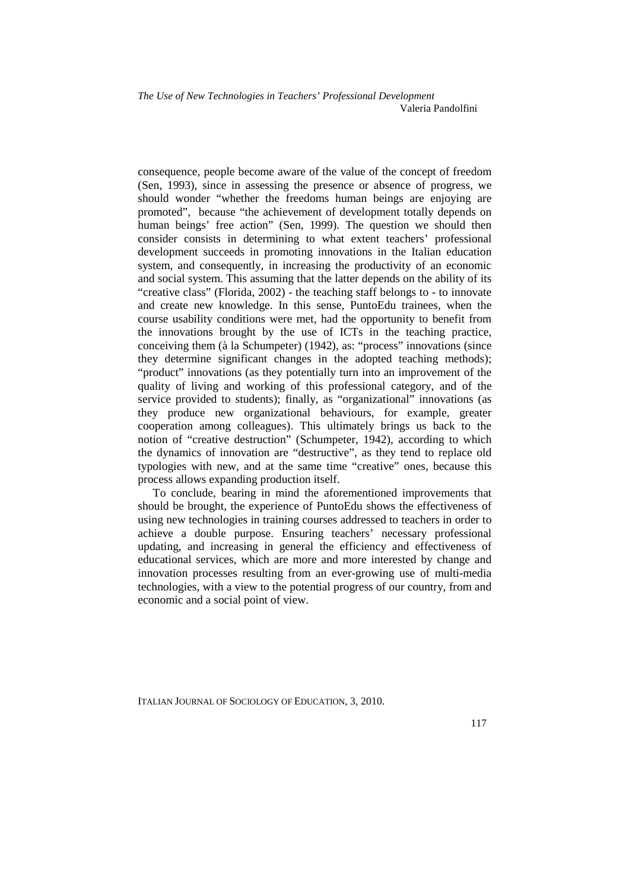consequence, people become aware of the value of the concept of freedom (Sen, 1993), since in assessing the presence or absence of progress, we should wonder "whether the freedoms human beings are enjoying are promoted", because "the achievement of development totally depends on human beings' free action" (Sen, 1999). The question we should then consider consists in determining to what extent teachers' professional development succeeds in promoting innovations in the Italian education system, and consequently, in increasing the productivity of an economic and social system. This assuming that the latter depends on the ability of its "creative class" (Florida, 2002) - the teaching staff belongs to - to innovate and create new knowledge. In this sense, PuntoEdu trainees, when the course usability conditions were met, had the opportunity to benefit from the innovations brought by the use of ICTs in the teaching practice, conceiving them (à la Schumpeter) (1942), as: "process" innovations (since they determine significant changes in the adopted teaching methods); "product" innovations (as they potentially turn into an improvement of the quality of living and working of this professional category, and of the service provided to students); finally, as "organizational" innovations (as they produce new organizational behaviours, for example, greater cooperation among colleagues). This ultimately brings us back to the notion of "creative destruction" (Schumpeter, 1942), according to which the dynamics of innovation are "destructive", as they tend to replace old typologies with new, and at the same time "creative" ones, because this process allows expanding production itself.

To conclude, bearing in mind the aforementioned improvements that should be brought, the experience of PuntoEdu shows the effectiveness of using new technologies in training courses addressed to teachers in order to achieve a double purpose. Ensuring teachers' necessary professional updating, and increasing in general the efficiency and effectiveness of educational services, which are more and more interested by change and innovation processes resulting from an ever-growing use of multi-media technologies, with a view to the potential progress of our country, from and economic and a social point of view.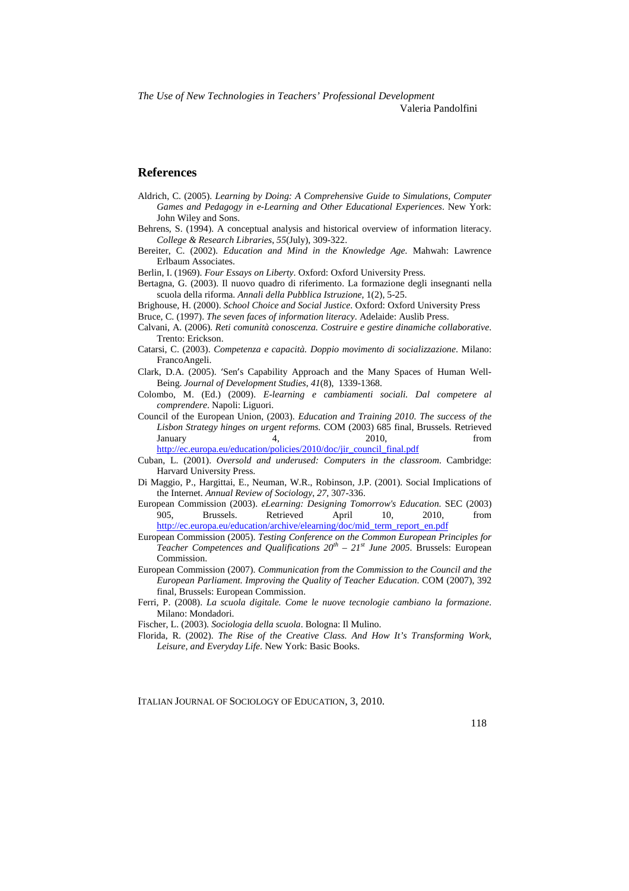*The Use of New Technologies in Teachers' Professional Development*

Valeria Pandolfini

### **References**

- Aldrich, C. (2005). *Learning by Doing: A Comprehensive Guide to Simulations, Computer Games and Pedagogy in e-Learning and Other Educational Experiences*. New York: John Wiley and Sons.
- Behrens, S. (1994). A conceptual analysis and historical overview of information literacy. *College & Research Libraries*, *55*(July), 309-322.
- Bereiter, C. (2002). *Education and Mind in the Knowledge Age.* Mahwah: Lawrence Erlbaum Associates.
- Berlin, I. (1969). *Four Essays on Liberty*. Oxford: Oxford University Press.
- Bertagna, G. (2003). Il nuovo quadro di riferimento. La formazione degli insegnanti nella scuola della riforma. *Annali della Pubblica Istruzione*, 1(2), 5-25.
- Brighouse, H. (2000). *School Choice and Social Justice*. Oxford: Oxford University Press

Bruce, C. (1997). *The seven faces of information literacy*. Adelaide: Auslib Press.

- Calvani, A. (2006). *Reti comunità conoscenza. Costruire e gestire dinamiche collaborative*. Trento: Erickson.
- Catarsi, C. (2003). *Competenza e capacità. Doppio movimento di socializzazione*. Milano: FrancoAngeli.
- Clark, D.A. (2005). 'Sen's Capability Approach and the Many Spaces of Human Well-Being. *Journal of Development Studies*, *41*(8), 1339-1368.
- Colombo, M. (Ed.) (2009). *E-learning e cambiamenti sociali. Dal competere al comprendere*. Napoli: Liguori.
- Council of the European Union, (2003). *Education and Training 2010. The success of the Lisbon Strategy hinges on urgent reforms.* COM (2003) 685 final, Brussels. Retrieved January 4, 2010, from http://ec.europa.eu/education/policies/2010/doc/jir\_council\_final.pdf

- Cuban, L. (2001). *Oversold and underused: Computers in the classroom*. Cambridge: Harvard University Press.
- Di Maggio, P., Hargittai, E., Neuman, W.R., Robinson, J.P. (2001). Social Implications of the Internet. *Annual Review of Sociology*, *27*, 307-336.
- European Commission (2003). *eLearning: Designing Tomorrow's Education*. SEC (2003) 905, Brussels. Retrieved April 10, 2010, from http://ec.europa.eu/education/archive/elearning/doc/mid\_term\_report\_en.pdf
- European Commission (2005). *Testing Conference on the Common European Principles for Teacher Competences and Qualifications 20th – 21st June 2005*. Brussels: European Commission.
- European Commission (2007). *Communication from the Commission to the Council and the European Parliament*. *Improving the Quality of Teacher Education*. COM (2007), 392 final, Brussels: European Commission.
- Ferri, P. (2008). *La scuola digitale. Come le nuove tecnologie cambiano la formazione*. Milano: Mondadori.
- Fischer, L. (2003). *Sociologia della scuola*. Bologna: Il Mulino.
- Florida, R. (2002). *The Rise of the Creative Class. And How It's Transforming Work, Leisure, and Everyday Life*. New York: Basic Books.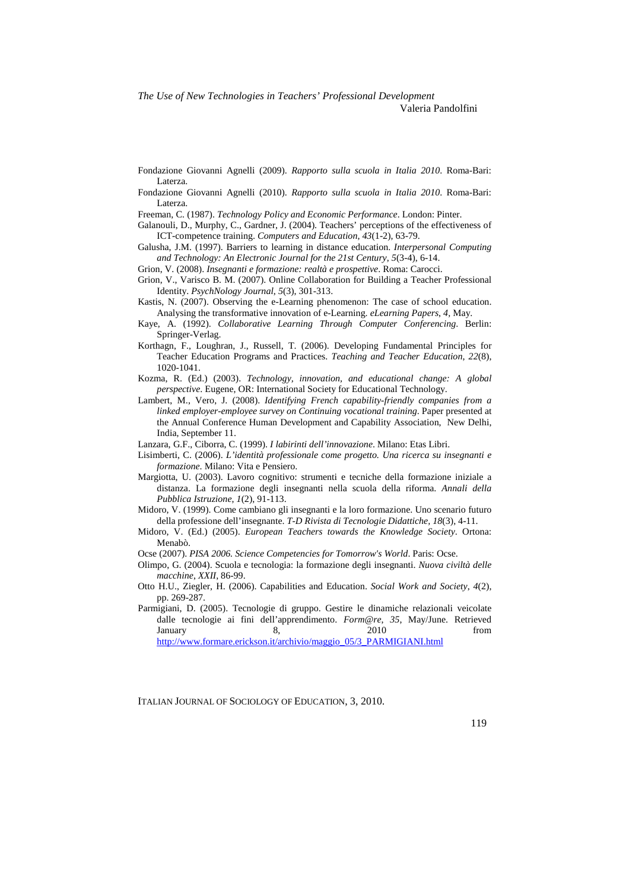*The Use of New Technologies in Teachers' Professional Development*

Valeria Pandolfini

- Fondazione Giovanni Agnelli (2009). *Rapporto sulla scuola in Italia 2010*. Roma-Bari: Laterza.
- Fondazione Giovanni Agnelli (2010). *Rapporto sulla scuola in Italia 2010*. Roma-Bari: Laterza.
- Freeman, C. (1987). *Technology Policy and Economic Performance*. London: Pinter.
- Galanouli, D., Murphy, C., Gardner, J. (2004). Teachers' perceptions of the effectiveness of ICT-competence training. *Computers and Education*, *43*(1-2), 63-79.
- Galusha, J.M. (1997). Barriers to learning in distance education. *Interpersonal Computing and Technology: An Electronic Journal for the 21st Century*, *5*(3-4), 6-14.
- Grion, V. (2008). *Insegnanti e formazione: realtà e prospettive*. Roma: Carocci.
- Grion, V., Varisco B. M. (2007). Online Collaboration for Building a Teacher Professional Identity. *PsychNology Journal*, *5*(3), 301-313.
- Kastis, N. (2007). Observing the e-Learning phenomenon: The case of school education. Analysing the transformative innovation of e-Learning. *eLearning Papers*, *4,* May.
- Kaye, A. (1992). *Collaborative Learning Through Computer Conferencing*. Berlin: Springer-Verlag.
- Korthagn, F., Loughran, J., Russell, T. (2006). Developing Fundamental Principles for Teacher Education Programs and Practices. *Teaching and Teacher Education*, *22*(8), 1020-1041.
- Kozma, R. (Ed.) (2003). *Technology, innovation, and educational change: A global perspective*. Eugene, OR: International Society for Educational Technology.
- Lambert, M., Vero, J. (2008). *Identifying French capability-friendly companies from a linked employer-employee survey on Continuing vocational training*. Paper presented at the Annual Conference Human Development and Capability Association, New Delhi, India, September 11.
- Lanzara, G.F., Ciborra, C. (1999). *I labirinti dell'innovazione*. Milano: Etas Libri.
- Lisimberti, C. (2006). *L'identità professionale come progetto. Una ricerca su insegnanti e formazione*. Milano: Vita e Pensiero.
- Margiotta, U. (2003). Lavoro cognitivo: strumenti e tecniche della formazione iniziale a distanza. La formazione degli insegnanti nella scuola della riforma. *Annali della Pubblica Istruzione*, *1*(2), 91-113.
- Midoro, V. (1999). Come cambiano gli insegnanti e la loro formazione. Uno scenario futuro della professione dell'insegnante. *T-D Rivista di Tecnologie Didattiche, 18*(3), 4-11.
- Midoro, V. (Ed.) (2005). *European Teachers towards the Knowledge Society*. Ortona: Menabò.
- Ocse (2007). *PISA 2006. Science Competencies for Tomorrow's World*. Paris: Ocse.
- Olimpo, G. (2004). Scuola e tecnologia: la formazione degli insegnanti. *Nuova civiltà delle macchine*, *XXII*, 86-99.
- Otto H.U., Ziegler, H. (2006). Capabilities and Education. *Social Work and Society*, *4*(2), pp. 269-287.
- Parmigiani, D. (2005). Tecnologie di gruppo. Gestire le dinamiche relazionali veicolate dalle tecnologie ai fini dell'apprendimento. *Form@re*, *35*, May/June. Retrieved January 8, 2010 from http://www.formare.erickson.it/archivio/maggio\_05/3\_PARMIGIANI.html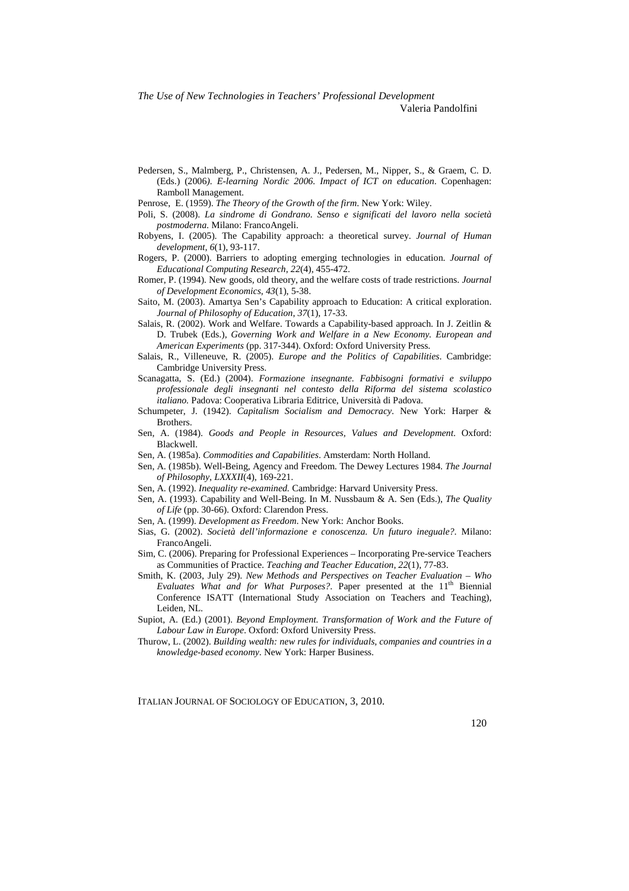Valeria Pandolfini

- Pedersen, S., Malmberg, P., Christensen, A. J., Pedersen, M., Nipper, S., & Graem, C. D. (Eds.) (2006*). E-learning Nordic 2006. Impact of ICT on education*. Copenhagen: Ramboll Management.
- Penrose, E. (1959). *The Theory of the Growth of the firm*. New York: Wiley.
- Poli, S. (2008). *La sindrome di Gondrano. Senso e significati del lavoro nella società postmoderna*. Milano: FrancoAngeli.
- Robyens, I. (2005). The Capability approach: a theoretical survey. *Journal of Human development, 6*(1), 93-117.
- Rogers, P. (2000). Barriers to adopting emerging technologies in education. *Journal of Educational Computing Research*, *22*(4), 455-472.
- Romer, P. (1994). New goods, old theory, and the welfare costs of trade restrictions. *Journal of Development Economics*, *43*(1), 5-38.
- Saito, M. (2003). Amartya Sen's Capability approach to Education: A critical exploration. *Journal of Philosophy of Education*, *37*(1), 17-33.
- Salais, R. (2002). Work and Welfare. Towards a Capability-based approach. In J. Zeitlin & D. Trubek (Eds.), *Governing Work and Welfare in a New Economy. European and American Experiments* (pp. 317-344). Oxford: Oxford University Press.
- Salais, R., Villeneuve, R. (2005). *Europe and the Politics of Capabilities*. Cambridge: Cambridge University Press.
- Scanagatta, S. (Ed.) (2004). *Formazione insegnante. Fabbisogni formativi e sviluppo professionale degli insegnanti nel contesto della Riforma del sistema scolastico italiano.* Padova: Cooperativa Libraria Editrice, Università di Padova.
- Schumpeter, J. (1942). *Capitalism Socialism and Democracy*. New York: Harper & Brothers.
- Sen, A. (1984). *Goods and People in Resources, Values and Development*. Oxford: Blackwell.
- Sen, A. (1985a). *Commodities and Capabilities*. Amsterdam: North Holland.
- Sen, A. (1985b). Well-Being, Agency and Freedom. The Dewey Lectures 1984. *The Journal of Philosophy*, *LXXXII*(4), 169-221.
- Sen, A. (1992). *Inequality re-examined.* Cambridge: Harvard University Press.
- Sen, A. (1993). Capability and Well-Being. In M. Nussbaum & A. Sen (Eds.), *The Quality of Life* (pp. 30-66). Oxford: Clarendon Press.
- Sen, A. (1999). *Development as Freedom*. New York: Anchor Books.
- Sias, G. (2002). *Società dell'informazione e conoscenza. Un futuro ineguale?*. Milano: FrancoAngeli.
- Sim, C. (2006). Preparing for Professional Experiences Incorporating Pre-service Teachers as Communities of Practice. *Teaching and Teacher Education*, *22*(1), 77-83.
- Smith, K. (2003, July 29). *New Methods and Perspectives on Teacher Evaluation Who Evaluates What and for What Purposes?*. Paper presented at the 11<sup>th</sup> Biennial Conference ISATT (International Study Association on Teachers and Teaching), Leiden, NL.
- Supiot, A. (Ed.) (2001). *Beyond Employment. Transformation of Work and the Future of Labour Law in Europe*. Oxford: Oxford University Press.
- Thurow, L. (2002). *Building wealth: new rules for individuals, companies and countries in a knowledge-based economy*. New York: Harper Business.